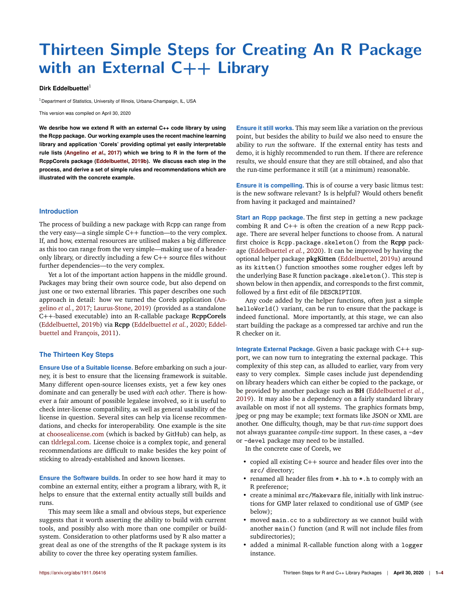# **Thirteen Simple Steps for Creating An R Package with an External C++ Library**

## **Dirk Eddelbuettel**<sup>1</sup>

<sup>1</sup> Department of Statistics, University of Illinois, Urbana-Champaign, IL, USA

This version was compiled on April 30, 2020

**We desribe how we extend R with an external C++ code library by using the Rcpp package. Our working example uses the recent machine learning library and application 'Corels' providing optimal yet easily interpretable rule lists (Angelino** *et al.***, 2017) which we bring to R in the form of the RcppCorels package (Eddelbuettel, 2019b). We discuss each step in the process, and derive a set of simple rules and recommendations which are illustrated with the concrete example.**

#### **Introduction**

The process of building a new package with Rcpp can range from the very easy—a single simple C++ function—to the very complex. If, and how, external resources are utilised makes a big difference as this too can range from the very simple—making use of a headeronly library, or directly including a few C++ source files without further dependencies—to the very complex.

Yet a lot of the important action happens in the middle ground. Packages may bring their own source code, but also depend on just one or two external libraries. This paper describes one such approach in detail: how we turned the Corels application (Angelino *et al.*, 2017; Laurus-Stone, 2019) (provided as a standalone C++-based executable) into an R-callable package **RcppCorels** (Eddelbuettel, 2019b) via **Rcpp** (Eddelbuettel *et al.*, 2020; Eddelbuettel and François, 2011).

# **The Thirteen Key Steps**

**Ensure Use of a Suitable license.** Before embarking on such a journey, it is best to ensure that the licensing framework is suitable. Many different open-source licenses exists, yet a few key ones dominate and can generally be used *with each other*. There is however a fair amount of possible legalese involved, so it is useful to check inter-license compatibility, as well as general usability of the license in question. Several sites can help via license recommendations, and checks for interoperability. One example is the site at choosealicense.com (which is backed by GitHub) can help, as can tldrlegal.com. License choice is a complex topic, and general recommendations are difficult to make besides the key point of sticking to already-established and known licenses.

**Ensure the Software builds.** In order to see how hard it may to combine an external entity, either a program a library, with R, it helps to ensure that the external entity actually still builds and runs.

This may seem like a small and obvious steps, but experience suggests that it worth asserting the ability to build with current tools, and possibly also with more than one compiler or buildsystem. Consideration to other platforms used by R also matter a great deal as one of the strengths of the R package system is its ability to cover the three key operating system families.

**Ensure it still works.** This may seem like a variation on the previous point, but besides the ability to *build* we also need to ensure the ability to *run* the software. If the external entity has tests and demo, it is highly recommended to run them. If there are reference results, we should ensure that they are still obtained, and also that the run-time performance it still (at a minimum) reasonable.

**Ensure it is compelling.** This is of course a very basic litmus test: is the new software relevant? Is is helpful? Would others benefit from having it packaged and maintained?

**Start an Rcpp package.** The first step in getting a new package combing R and C++ is often the creation of a new Rcpp package. There are several helper functions to choose from. A natural first choice is Rcpp.package.skeleton() from the **Rcpp** package (Eddelbuettel *et al.*, 2020). It can be improved by having the optional helper package **pkgKitten** (Eddelbuettel, 2019a) around as its kitten() function smoothes some rougher edges left by the underlying Base R function package.skeleton(). This step is shown below in then appendix, and corresponds to the first commit, followed by a first edit of file DESCRIPTION.

Any code added by the helper functions, often just a simple helloWorld() variant, can be run to ensure that the package is indeed functional. More importantly, at this stage, we can also start building the package as a compressed tar archive and run the R checker on it.

**Integrate External Package.** Given a basic package with C++ support, we can now turn to integrating the external package. This complexity of this step can, as alluded to earlier, vary from very easy to very complex. Simple cases include just dependending on library headers which can either be copied to the package, or be provided by another package such as **BH** (Eddelbuettel *et al.*, 2019). It may also be a dependency on a fairly standard library available on most if not all systems. The graphics formats bmp, jpeg or png may be example; text formats like JSON or XML are another. One difficulty, though, may be that *run-time* support does not always guarantee *compile-time* support. In these cases, a -dev or -devel package may need to be installed.

In the concrete case of Corels, we

- copied all existing C++ source and header files over into the src/ directory;
- renamed all header files from  $*$ .hh to  $*$ .h to comply with an R preference;
- create a minimal src/Makevars file, initially with link instructions for GMP later relaxed to conditional use of GMP (see below);
- moved main.cc to a subdirectory as we cannot build with another main() function (and R will not include files from subdirectories);
- added a minimal R-callable function along with a logger instance.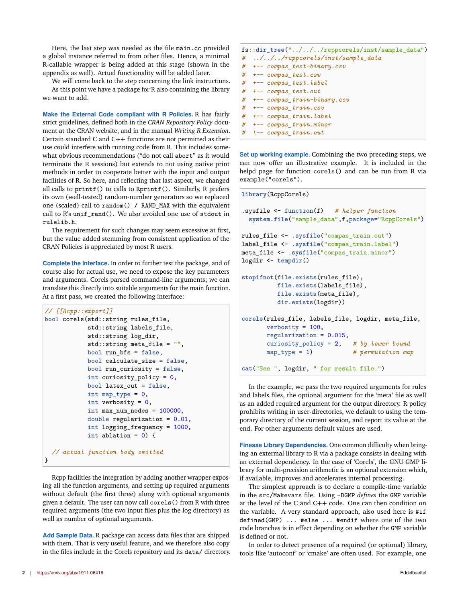Here, the last step was needed as the file main.cc provided a global instance referred to from other files. Hence, a minimal R-callable wrapper is being added at this stage (shown in the appendix as well). Actual functionality will be added later.

We will come back to the step concerning the link instructions. As this point we have a package for R also containing the library we want to add.

**Make the External Code compliant with R Policies.** R has fairly strict guidelines, defined both in the *CRAN Repository Policy* document at the CRAN website, and in the manual *Writing R Extension*. Certain standard C and C++ functions are not permitted as their use could interfere with running code from R. This includes somewhat obvious recommendations ("do not call abort" as it would terminate the R sessions) but extends to not using native print methods in order to cooperate better with the input and output facilities of R. So here, and reflecting that last aspect, we changed all calls to printf() to calls to Rprintf(). Similarly, R prefers its own (well-tested) random-number generators so we replaced one (scaled) call to random() / RAND\_MAX with the equivalent call to R's unif\_rand(). We also avoided one use of stdout in rulelib.h.

The requirement for such changes may seem excessive at first, but the value added stemming from consistent application of the CRAN Policies is appreciated by most R users.

**Complete the Interface.** In order to further test the package, and of course also for actual use, we need to expose the key parameters and arguments. Corels parsed command-line arguments; we can translate this directly into suitable arguments for the main function. At a first pass, we created the following interface:

```
// [[Rcpp::export]]
bool corels(std::string rules_file,
            std::string labels file,
            std::string log_dir,
            std::string meta_file = "",
            bool run_bfs = false,
            bool calculate_size = false,
            bool run_curiosity = false,
            int curiosity_policy = 0,
            bool latex_out = false,
            int map_type = 0,
            int verbosity = 0,
            int max_num_nodes = 100000,
            double regularization = 0.01,
            int logging_frequency = 1000,
            int ablation = 0) {
  // actual function body omitted
\mathbf{R}
```
Rcpp facilities the integration by adding another wrapper exposing all the function arguments, and setting up required arguments without default (the first three) along with optional arguments given a default. The user can now call corels() from R with three required arguments (the two input files plus the log directory) as well as number of optional arguments.

**Add Sample Data.** R package can access data files that are shipped with them. That is very useful feature, and we therefore also copy in the files include in the Corels repository and its data/ directory.

|   | fs::dir_tree("///rcppcorels/inst/sample_data")          |  |
|---|---------------------------------------------------------|--|
| # | $\ldots/\ldots$ / $\ldots$ /rcppcorels/inst/sample data |  |
| # | +-- compas_test-binary.csv                              |  |
| # | +-- compas test.csv                                     |  |
| # | +-- compas_test.label                                   |  |
|   | # +-- compas_test.out                                   |  |
| # | +-- compas train-binary.csv                             |  |
|   | # +-- compas train.csv                                  |  |
|   | # +-- compas_train.label                                |  |
| # | +-- compas train.minor                                  |  |
|   | $#$ $\rightarrow$ compas train.out                      |  |

**Set up working example.** Combining the two preceding steps, we can now offer an illustrative example. It is included in the helpd page for function corels() and can be run from R via example("corels").

```
library(RcppCorels)
.sysfile <- function(f) # helper function
  system.file("sample_data",f,package="RcppCorels")
rules_file <- .sysfile("compas_train.out")
label_file <- .sysfile("compas_train.label")
meta_file <- .sysfile("compas_train.minor")
logdir <- tempdir()
stopifnot(file.exists(rules_file),
          file.exists(labels_file),
          file.exists(meta_file),
          dir.exists(logdir))
corels(rules_file, labels_file, logdir, meta_file,
       verbosity = 100,
       regularization = 0.015,
       curiosity_policy = 2, # by lower bound
       map_type = 1) # permutation map
cat("See ", logdir, " for result file.")
```
In the example, we pass the two required arguments for rules and labels files, the optional argument for the 'meta' file as well as an added required argument for the output directory. R policy prohibits writing in user-directories, we default to using the temporary directory of the current session, and report its value at the end. For other arguments default values are used.

**Finesse Library Dependencies.** One common difficulty when bringing an extermal library to R via a package consists in dealing with an external dependency. In the case of 'Corels', the GNU GMP library for multi-precision arithmetic is an optional extension which, if available, improves and accelerates internal processing.

The simplest approach is to declare a compile-time variable in the src/Makevars file. Using -DGMP *defines* the GMP variable at the level of the C and C++ code. One can then condition on the variable. A very standard approach, also used here is #if defined(GMP) ... #else ... #endif where one of the two code branches is in effect depending on whether the GMP variable is defined or not.

In order to detect presence of a required (or optional) library, tools like 'autoconf' or 'cmake' are often used. For example, one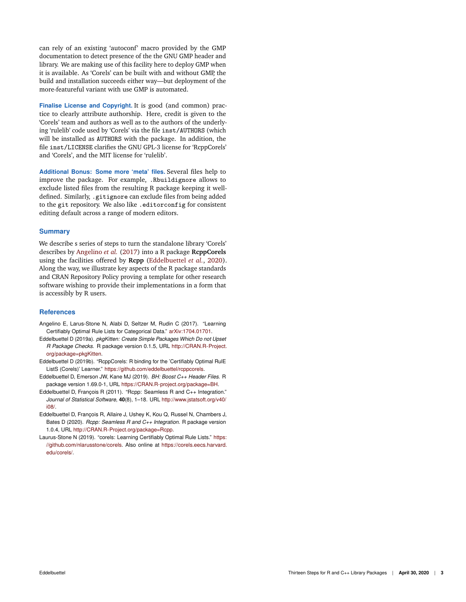can rely of an existing 'autoconf' macro provided by the GMP documentation to detect presence of the the GNU GMP header and library. We are making use of this facility here to deploy GMP when it is available. As 'Corels' can be built with and without GMP, the build and installation succeeds either way—but deployment of the more-featureful variant with use GMP is automated.

**Finalise License and Copyright.** It is good (and common) practice to clearly attribute authorship. Here, credit is given to the 'Corels' team and authors as well as to the authors of the underlying 'rulelib' code used by 'Corels' via the file inst/AUTHORS (which will be installed as AUTHORS with the package. In addition, the file inst/LICENSE clarifies the GNU GPL-3 license for 'RcppCorels' and 'Corels', and the MIT license for 'rulelib'.

**Additional Bonus: Some more 'meta' files.** Several files help to improve the package. For example, .Rbuildignore allows to exclude listed files from the resulting R package keeping it welldefined. Similarly, .gitignore can exclude files from being added to the git repository. We also like .editorconfig for consistent editing default across a range of modern editors.

# **Summary**

We describe s series of steps to turn the standalone library 'Corels' describes by Angelino *et al.* (2017) into a R package **RcppCorels** using the facilities offered by **Rcpp** (Eddelbuettel *et al.*, 2020). Along the way, we illustrate key aspects of the R package standards and CRAN Repository Policy proving a template for other research software wishing to provide their implementations in a form that is accessibly by R users.

## **References**

- Angelino E, Larus-Stone N, Alabi D, Seltzer M, Rudin C (2017). "Learning Certifiably Optimal Rule Lists for Categorical Data." arXiv:1704.01701.
- Eddelbuettel D (2019a). *pkgKitten: Create Simple Packages Which Do not Upset R Package Checks*. R package version 0.1.5, URL http://CRAN.R-Project. org/package=pkgKitten.
- Eddelbuettel D (2019b). "RcppCorels: R binding for the 'Certifiably Optimal RulE ListS (Corels)' Learner." https://github.com/eddelbuettel/rcppcorels.
- Eddelbuettel D, Emerson JW, Kane MJ (2019). *BH: Boost C++ Header Files*. R package version 1.69.0-1, URL https://CRAN.R-project.org/package=BH.
- Eddelbuettel D, François R (2011). "Rcpp: Seamless R and C++ Integration." *Journal of Statistical Software*, **40**(8), 1–18. URL http://www.jstatsoft.org/v40/ i08/.
- Eddelbuettel D, François R, Allaire J, Ushey K, Kou Q, Russel N, Chambers J, Bates D (2020). *Rcpp: Seamless R and C++ Integration*. R package version 1.0.4, URL http://CRAN.R-Project.org/package=Rcpp.
- Laurus-Stone N (2019). "corels: Learning Certifiably Optimal Rule Lists." https: //github.com/nlarusstone/corels. Also online at https://corels.eecs.harvard. edu/corels/.